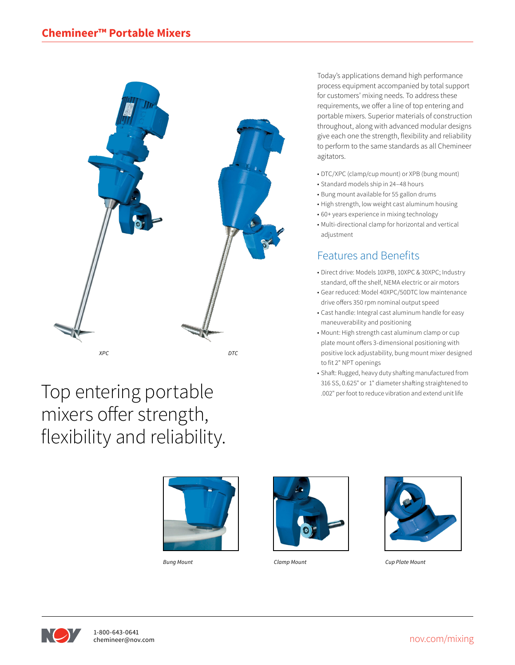

Today's applications demand high performance process equipment accompanied by total support for customers' mixing needs. To address these requirements, we offer a line of top entering and portable mixers. Superior materials of construction throughout, along with advanced modular designs give each one the strength, flexibility and reliability to perform to the same standards as all Chemineer agitators.

- DTC/XPC (clamp/cup mount) or XPB (bung mount)
- Standard models ship in 24–48 hours
- Bung mount available for 55 gallon drums
- High strength, low weight cast aluminum housing
- 60+ years experience in mixing technology
- Multi-directional clamp for horizontal and vertical adjustment

## Features and Benefits

- Direct drive: Models 10XPB, 10XPC & 30XPC; Industry standard, off the shelf, NEMA electric or air motors
- Gear reduced: Model 40XPC/50DTC low maintenance drive offers 350 rpm nominal output speed
- Cast handle: Integral cast aluminum handle for easy maneuverability and positioning
- Mount: High strength cast aluminum clamp or cup plate mount offers 3-dimensional positioning with positive lock adjustability, bung mount mixer designed to fit 2" NPT openings
- Shaft: Rugged, heavy duty shafting manufactured from 316 SS, 0.625" or 1" diameter shafting straightened to .002" per foot to reduce vibration and extend unit life

## Top entering portable mixers offer strength, flexibility and reliability.



*Bung Mount*





*Clamp Mount Cup Plate Mount*